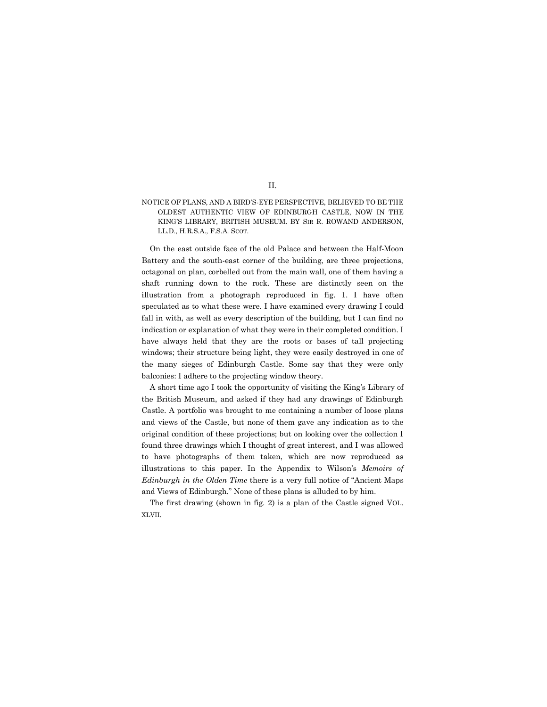## NOTICE OF PLANS, AND A BIRD'S-EYE PERSPECTIVE, BELIEVED TO BE THE OLDEST AUTHENTIC VIEW OF EDINBURGH CASTLE, NOW IN THE KING'S LIBRARY, BRITISH MUSEUM. BY SIR R. ROWAND ANDERSON, LL.D., H.R.S.A., F.S.A. SCOT.

On the east outside face of the old Palace and between the Half-Moon Battery and the south-east corner of the building, are three projections, octagonal on plan, corbelled out from the main wall, one of them having a shaft running down to the rock. These are distinctly seen on the illustration from a photograph reproduced in fig. 1. I have often speculated as to what these were. I have examined every drawing I could fall in with, as well as every description of the building, but I can find no indication or explanation of what they were in their completed condition. I have always held that they are the roots or bases of tall projecting windows; their structure being light, they were easily destroyed in one of the many sieges of Edinburgh Castle. Some say that they were only balconies: I adhere to the projecting window theory.

A short time ago I took the opportunity of visiting the King's Library of the British Museum, and asked if they had any drawings of Edinburgh Castle. A portfolio was brought to me containing a number of loose plans and views of the Castle, but none of them gave any indication as to the original condition of these projections; but on looking over the collection I found three drawings which I thought of great interest, and I was allowed to have photographs of them taken, which are now reproduced as illustrations to this paper. In the Appendix to Wilson's *Memoirs of Edinburgh in the Olden Time* there is a very full notice of "Ancient Maps and Views of Edinburgh." None of these plans is alluded to by him.

The first drawing (shown in fig. 2) is a plan of the Castle signed VOL. XLVII.

## II.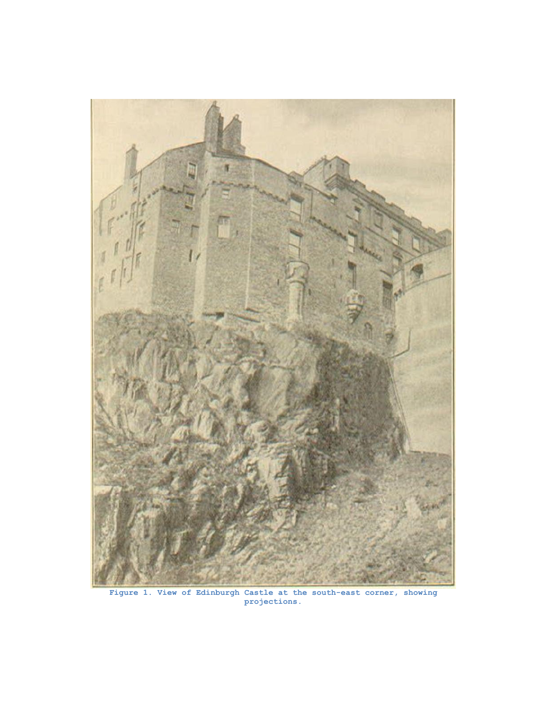

**Figure 1. View of Edinburgh Castle at the south-east corner, showing projections.**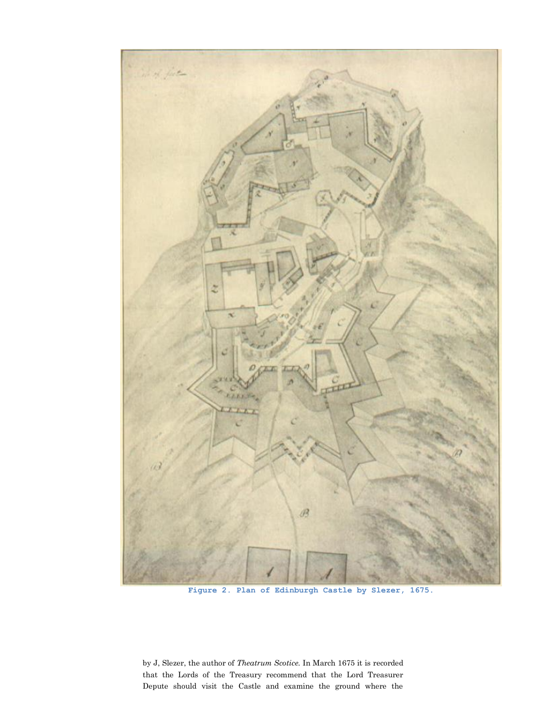

**Figure 2. Plan of Edinburgh Castle by Slezer, 1675.**

by J, Slezer, the author of *Theatrum Scotice.* In March 1675 it is recorded that the Lords of the Treasury recommend that the Lord Treasurer Depute should visit the Castle and examine the ground where the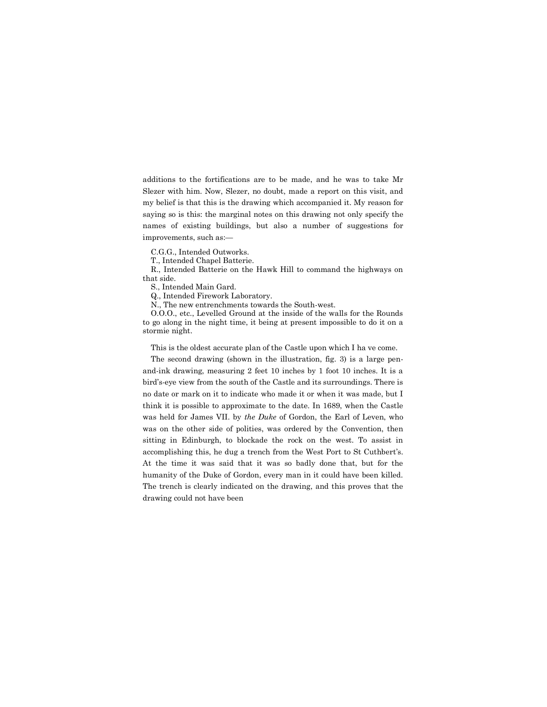additions to the fortifications are to be made, and he was to take Mr Slezer with him. Now, Slezer, no doubt, made a report on this visit, and my belief is that this is the drawing which accompanied it. My reason for saying so is this: the marginal notes on this drawing not only specify the names of existing buildings, but also a number of suggestions for improvements, such as:—

C.G.G., Intended Outworks.

T., Intended Chapel Batterie.

R., Intended Batterie on the Hawk Hill to command the highways on that side.

S., Intended Main Gard.

Q., Intended Firework Laboratory.

N., The new entrenchments towards the South-west.

O.O.O., etc., Levelled Ground at the inside of the walls for the Rounds to go along in the night time, it being at present impossible to do it on a stormie night.

This is the oldest accurate plan of the Castle upon which I ha ve come.

The second drawing (shown in the illustration, fig. 3) is a large penand-ink drawing, measuring 2 feet 10 inches by 1 foot 10 inches. It is a bird's-eye view from the south of the Castle and its surroundings. There is no date or mark on it to indicate who made it or when it was made, but I think it is possible to approximate to the date. In 1689, when the Castle was held for James VII. by *the Duke* of Gordon, the Earl of Leven, who was on the other side of polities, was ordered by the Convention, then sitting in Edinburgh, to blockade the rock on the west. To assist in accomplishing this, he dug a trench from the West Port to St Cuthbert's. At the time it was said that it was so badly done that, but for the humanity of the Duke of Gordon, every man in it could have been killed. The trench is clearly indicated on the drawing, and this proves that the drawing could not have been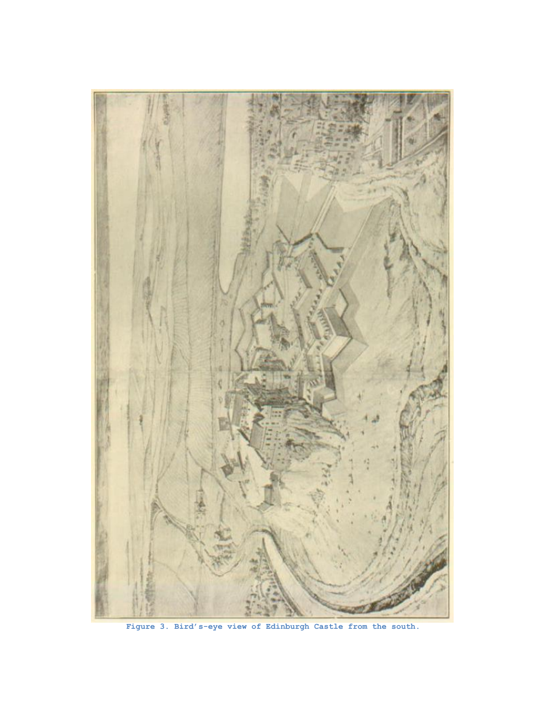

**Figure 3. Bird's-eye view of Edinburgh Castle from the south.**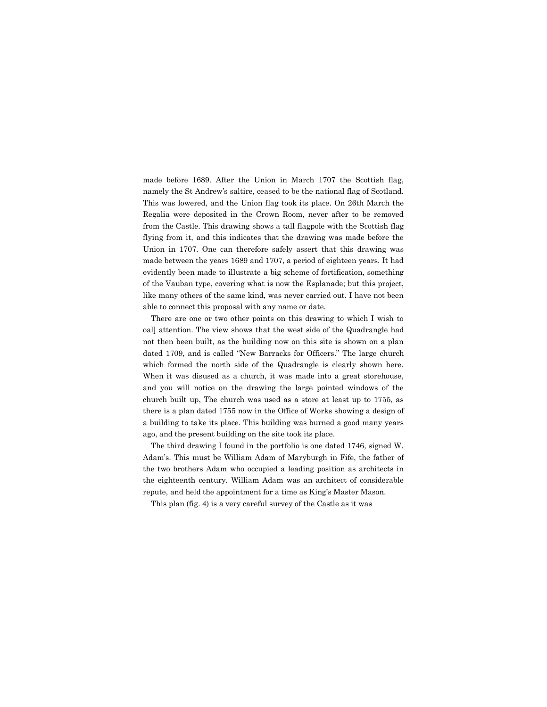made before 1689. After the Union in March 1707 the Scottish flag, namely the St Andrew's saltire, ceased to be the national flag of Scotland. This was lowered, and the Union flag took its place. On 26th March the Regalia were deposited in the Crown Room, never after to be removed from the Castle. This drawing shows a tall flagpole with the Scottish flag flying from it, and this indicates that the drawing was made before the Union in 1707. One can therefore safely assert that this drawing was made between the years 1689 and 1707, a period of eighteen years. It had evidently been made to illustrate a big scheme of fortification, something of the Vauban type, covering what is now the Esplanade; but this project, like many others of the same kind, was never carried out. I have not been able to connect this proposal with any name or date.

There are one or two other points on this drawing to which I wish to oal] attention. The view shows that the west side of the Quadrangle had not then been built, as the building now on this site is shown on a plan dated 1709, and is called "New Barracks for Officers." The large church which formed the north side of the Quadrangle is clearly shown here. When it was disused as a church, it was made into a great storehouse, and you will notice on the drawing the large pointed windows of the church built up, The church was used as a store at least up to 1755, as there is a plan dated 1755 now in the Office of Works showing a design of a building to take its place. This building was burned a good many years ago, and the present building on the site took its place.

The third drawing I found in the portfolio is one dated 1746, signed W. Adam's. This must be William Adam of Maryburgh in Fife, the father of the two brothers Adam who occupied a leading position as architects in the eighteenth century. William Adam was an architect of considerable repute, and held the appointment for a time as King's Master Mason.

This plan (fig. 4) is a very careful survey of the Castle as it was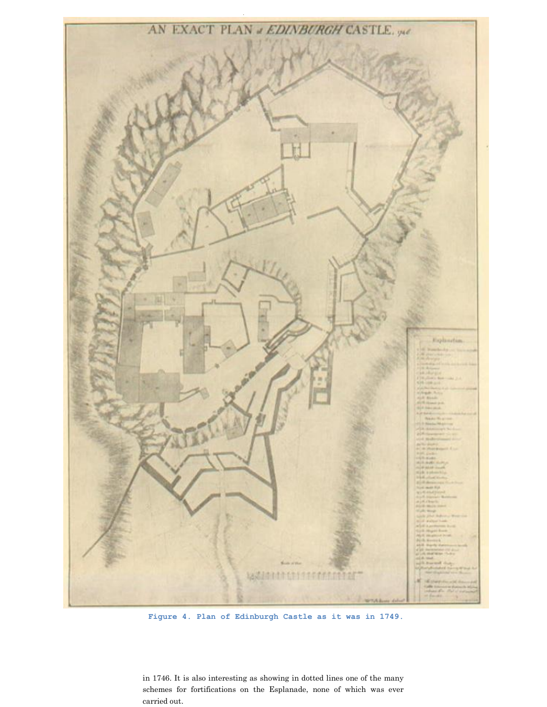

**Figure 4. Plan of Edinburgh Castle as it was in 1749.**

in 1746. It is also interesting as showing in dotted lines one of the many schemes for fortifications on the Esplanade, none of which was ever carried out.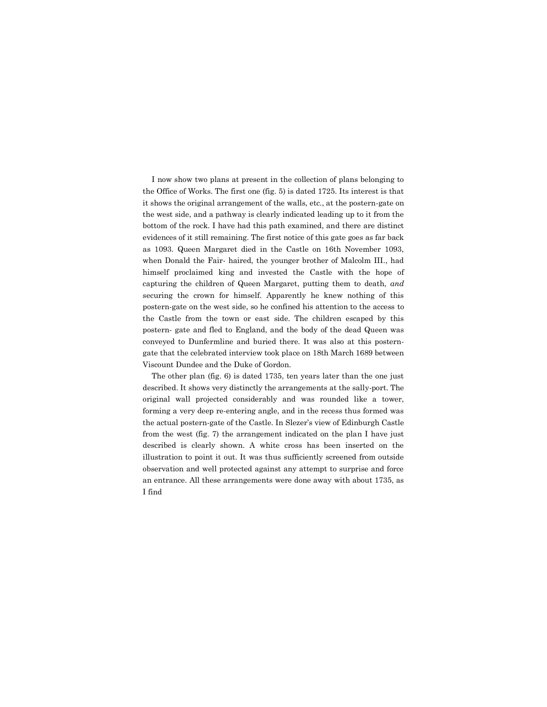I now show two plans at present in the collection of plans belonging to the Office of Works. The first one (fig. 5) is dated 1725. Its interest is that it shows the original arrangement of the walls, etc., at the postern-gate on the west side, and a pathway is clearly indicated leading up to it from the bottom of the rock. I have had this path examined, and there are distinct evidences of it still remaining. The first notice of this gate goes as far back as 1093. Queen Margaret died in the Castle on 16th November 1093, when Donald the Fair- haired, the younger brother of Malcolm III., had himself proclaimed king and invested the Castle with the hope of capturing the children of Queen Margaret, putting them to death, *and* securing the crown for himself. Apparently he knew nothing of this postern-gate on the west side, so he confined his attention to the access to the Castle from the town or east side. The children escaped by this postern- gate and fled to England, and the body of the dead Queen was conveyed to Dunfermline and buried there. It was also at this posterngate that the celebrated interview took place on 18th March 1689 between Viscount Dundee and the Duke of Gordon.

The other plan (fig. 6) is dated 1735, ten years later than the one just described. It shows very distinctly the arrangements at the sally-port. The original wall projected considerably and was rounded like a tower, forming a very deep re-entering angle, and in the recess thus formed was the actual postern-gate of the Castle. In Slezer's view of Edinburgh Castle from the west (fig. 7) the arrangement indicated on the plan I have just described is clearly shown. A white cross has been inserted on the illustration to point it out. It was thus sufficiently screened from outside observation and well protected against any attempt to surprise and force an entrance. All these arrangements were done away with about 1735, as I find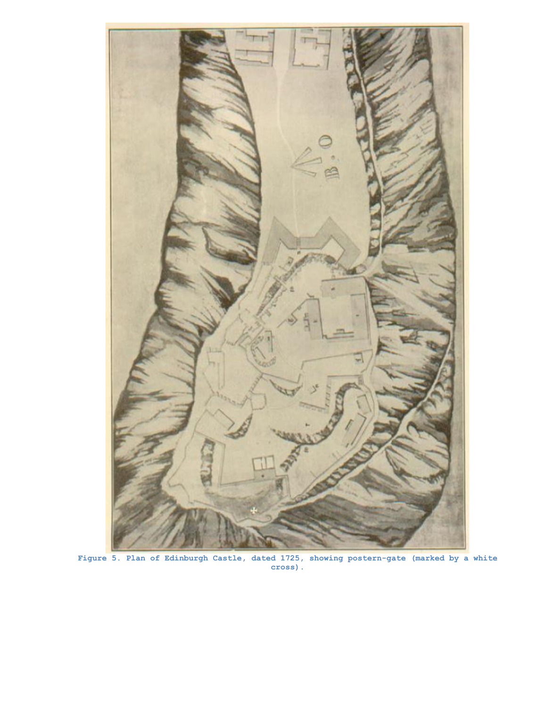

**Figure 5. Plan of Edinburgh Castle, dated 1725, showing postern-gate (marked by a white cross).**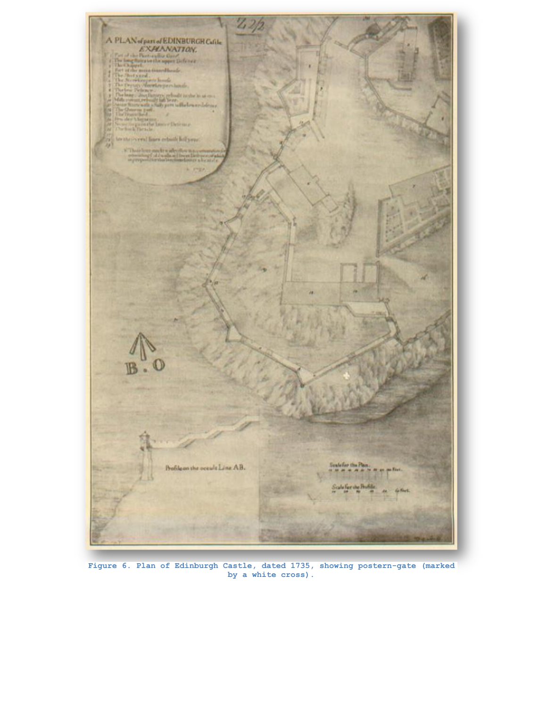

**Figure 6. Plan of Edinburgh Castle, dated 1735, showing postern-gate (marked by a white cross).**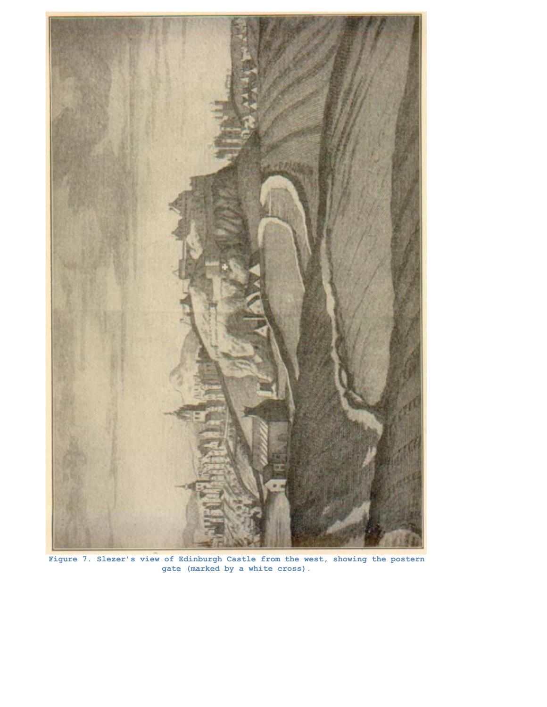

**Figure 7. Slezer's view of Edinburgh Castle from the west, showing the postern gate (marked by a white cross).**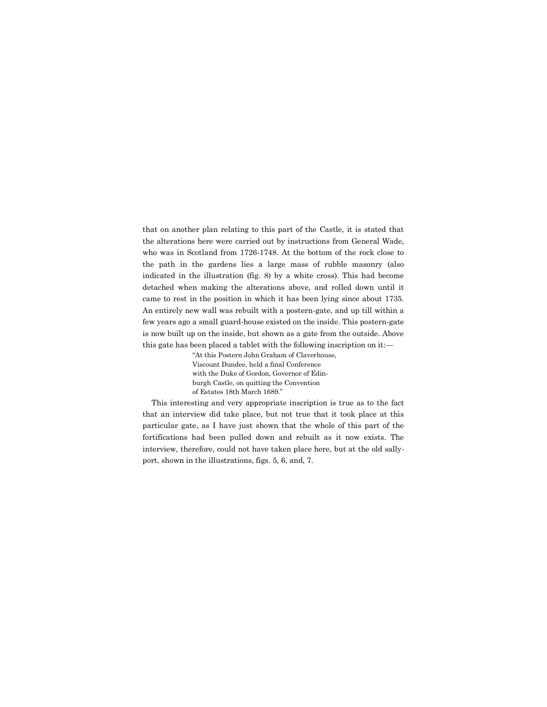that on another plan relating to this part of the Castle, it is stated that the alterations here were carried out by instructions from General Wade, who was in Scotland from 1726-1748. At the bottom of the rock close to the path in the gardens lies a large mass of rubble masonry (also indicated in the illustration (fig. 8) by a white cross). This had become detached when making the alterations above, and rolled down until it came to rest in the position in which it has been lying since about 1735. An entirely new wall was rebuilt with a postern-gate, and up till within a few years ago a small guard-house existed on the inside. This postern-gate is now built up on the inside, but shown as a gate from the outside. Above this gate has been placed a tablet with the following inscription on it:—

> "At this Postern John Graham of Claverhouse, Viscount Dundee, held a final Conference with the Duke of Gordon, Governor of Edinburgh Castle, on quitting the Convention of Estates 18th March 1689."

This interesting and very appropriate inscription is true as to the fact that an interview did take place, but not true that it took place at this particular gate, as I have just shown that the whole of this part of the fortifications had been pulled down and rebuilt as it now exists. The interview, therefore, could not have taken place here, but at the old sallyport, shown in the illustrations, figs. 5, 6, and, 7.